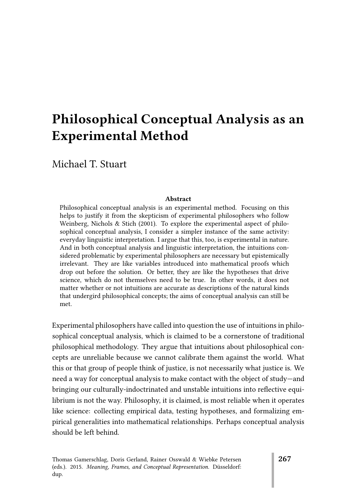# Philosophical Conceptual Analysis as an Experimental Method

Michael T. Stuart

#### Abstract

Philosophical conceptual analysis is an experimental method. Focusing on this helps to justify it from the skepticism of experimental philosophers who follow Weinberg, Nichols & Stich (2001). To explore the experimental aspect of philosophical conceptual analysis, I consider a simpler instance of the same activity: everyday linguistic interpretation. I argue that this, too, is experimental in nature. And in both conceptual analysis and linguistic interpretation, the intuitions considered problematic by experimental philosophers are necessary but epistemically irrelevant. They are like variables introduced into mathematical proofs which drop out before the solution. Or better, they are like the hypotheses that drive science, which do not themselves need to be true. In other words, it does not matter whether or not intuitions are accurate as descriptions of the natural kinds that undergird philosophical concepts; the aims of conceptual analysis can still be met.

Experimental philosophers have called into question the use of intuitions in philosophical conceptual analysis, which is claimed to be a cornerstone of traditional philosophical methodology. They argue that intuitions about philosophical concepts are unreliable because we cannot calibrate them against the world. What this or that group of people think of justice, is not necessarily what justice is. We need a way for conceptual analysis to make contact with the object of study—and bringing our culturally-indoctrinated and unstable intuitions into reflective equilibrium is not the way. Philosophy, it is claimed, is most reliable when it operates like science: collecting empirical data, testing hypotheses, and formalizing empirical generalities into mathematical relationships. Perhaps conceptual analysis should be left behind.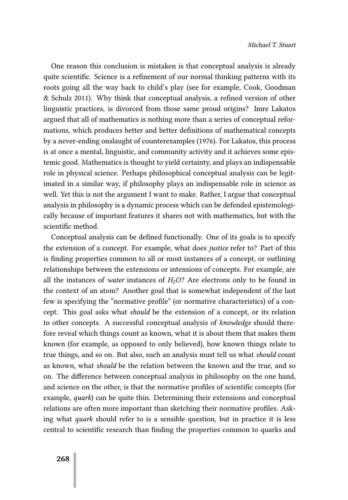One reason this conclusion is mistaken is that conceptual analysis is already quite scientific. Science is a refinement of our normal thinking patterns with its roots going all the way back to child's play (see for example, Cook, Goodman  $&$  Schulz 2011). Why think that conceptual analysis, a refined version of other linguistic practices, is divorced from those same proud origins? Imre Lakatos argued that all of mathematics is nothing more than a series of conceptual reformations, which produces better and better definitions of mathematical concepts by a never-ending onslaught of counterexamples (1976). For Lakatos, this process is at once a mental, linguistic, and community activity and it achieves some epistemic good. Mathematics is thought to yield certainty, and plays an indispensable role in physical science. Perhaps philosophical conceptual analysis can be legitimated in a similar way, if philosophy plays an indispensable role in science as well. Yet this is not the argument I want to make. Rather, I argue that conceptual analysis in philosophy is a dynamic process which can be defended epistemologically because of important features it shares not with mathematics, but with the scientific method.

Conceptual analysis can be defined functionally. One of its goals is to specify the extension of a concept. For example, what does justice refer to? Part of this is finding properties common to all or most instances of a concept, or outlining relationships between the extensions or intensions of concepts. For example, are all the instances of water instances of  $H<sub>2</sub>O$ ? Are electrons only to be found in the context of an atom? Another goal that is somewhat independent of the last few is specifying the "normative profile" (or normative characteristics) of a concept. This goal asks what should be the extension of a concept, or its relation to other concepts. A successful conceptual analysis of knowledge should therefore reveal which things count as known, what it is about them that makes them known (for example, as opposed to only believed), how known things relate to true things, and so on. But also, such an analysis must tell us what should count as known, what should be the relation between the known and the true, and so on. The difference between conceptual analysis in philosophy on the one hand, and science on the other, is that the normative profiles of scientific concepts (for example, quark) can be quite thin. Determining their extensions and conceptual relations are often more important than sketching their normative profiles. Asking what quark should refer to is a sensible question, but in practice it is less central to scientific research than finding the properties common to quarks and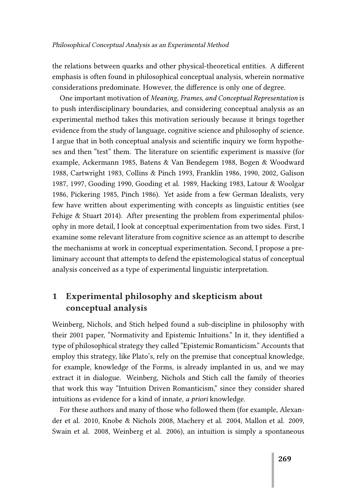the relations between quarks and other physical-theoretical entities. A different emphasis is often found in philosophical conceptual analysis, wherein normative considerations predominate. However, the difference is only one of degree.

One important motivation of Meaning, Frames, and Conceptual Representation is to push interdisciplinary boundaries, and considering conceptual analysis as an experimental method takes this motivation seriously because it brings together evidence from the study of language, cognitive science and philosophy of science. I argue that in both conceptual analysis and scientific inquiry we form hypotheses and then "test" them. The literature on scientific experiment is massive (for example, Ackermann 1985, Batens & Van Bendegem 1988, Bogen & Woodward 1988, Cartwright 1983, Collins & Pinch 1993, Franklin 1986, 1990, 2002, Galison 1987, 1997, Gooding 1990, Gooding et al. 1989, Hacking 1983, Latour & Woolgar 1986, Pickering 1985, Pinch 1986). Yet aside from a few German Idealists, very few have written about experimenting with concepts as linguistic entities (see Fehige & Stuart 2014). After presenting the problem from experimental philosophy in more detail, I look at conceptual experimentation from two sides. First, I examine some relevant literature from cognitive science as an attempt to describe the mechanisms at work in conceptual experimentation. Second, I propose a preliminary account that attempts to defend the epistemological status of conceptual analysis conceived as a type of experimental linguistic interpretation.

# 1 Experimental philosophy and skepticism about conceptual analysis

Weinberg, Nichols, and Stich helped found a sub-discipline in philosophy with their 2001 paper, "Normativity and Epistemic Intuitions." In it, they identified a type of philosophical strategy they called "Epistemic Romanticism." Accounts that employ this strategy, like Plato's, rely on the premise that conceptual knowledge, for example, knowledge of the Forms, is already implanted in us, and we may extract it in dialogue. Weinberg, Nichols and Stich call the family of theories that work this way "Intuition Driven Romanticism," since they consider shared intuitions as evidence for a kind of innate, a priori knowledge.

For these authors and many of those who followed them (for example, Alexander et al. 2010, Knobe & Nichols 2008, Machery et al. 2004, Mallon et al. 2009, Swain et al. 2008, Weinberg et al. 2006), an intuition is simply a spontaneous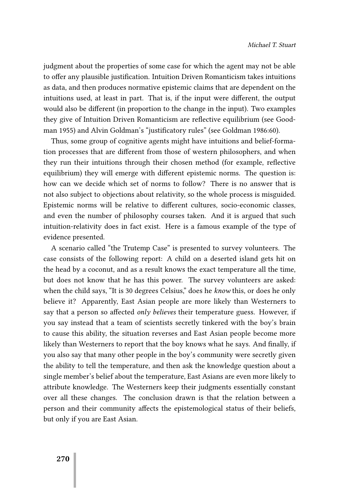judgment about the properties of some case for which the agent may not be able to offer any plausible justification. Intuition Driven Romanticism takes intuitions as data, and then produces normative epistemic claims that are dependent on the intuitions used, at least in part. That is, if the input were different, the output would also be different (in proportion to the change in the input). Two examples they give of Intuition Driven Romanticism are reflective equilibrium (see Goodman 1955) and Alvin Goldman's "justificatory rules" (see Goldman 1986:60).

Thus, some group of cognitive agents might have intuitions and belief-formation processes that are different from those of western philosophers, and when they run their intuitions through their chosen method (for example, reflective equilibrium) they will emerge with different epistemic norms. The question is: how can we decide which set of norms to follow? There is no answer that is not also subject to objections about relativity, so the whole process is misguided. Epistemic norms will be relative to different cultures, socio-economic classes, and even the number of philosophy courses taken. And it is argued that such intuition-relativity does in fact exist. Here is a famous example of the type of evidence presented.

A scenario called "the Trutemp Case" is presented to survey volunteers. The case consists of the following report: A child on a deserted island gets hit on the head by a coconut, and as a result knows the exact temperature all the time, but does not know that he has this power. The survey volunteers are asked: when the child says, "It is 30 degrees Celsius," does he *know* this, or does he only believe it? Apparently, East Asian people are more likely than Westerners to say that a person so affected only believes their temperature guess. However, if you say instead that a team of scientists secretly tinkered with the boy's brain to cause this ability, the situation reverses and East Asian people become more likely than Westerners to report that the boy knows what he says. And finally, if you also say that many other people in the boy's community were secretly given the ability to tell the temperature, and then ask the knowledge question about a single member's belief about the temperature, East Asians are even more likely to attribute knowledge. The Westerners keep their judgments essentially constant over all these changes. The conclusion drawn is that the relation between a person and their community affects the epistemological status of their beliefs, but only if you are East Asian.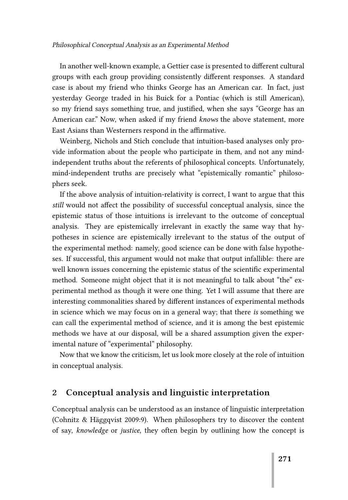In another well-known example, a Gettier case is presented to different cultural groups with each group providing consistently different responses. A standard case is about my friend who thinks George has an American car. In fact, just yesterday George traded in his Buick for a Pontiac (which is still American), so my friend says something true, and justified, when she says "George has an American car." Now, when asked if my friend knows the above statement, more East Asians than Westerners respond in the affirmative.

Weinberg, Nichols and Stich conclude that intuition-based analyses only provide information about the people who participate in them, and not any mindindependent truths about the referents of philosophical concepts. Unfortunately, mind-independent truths are precisely what "epistemically romantic" philosophers seek.

If the above analysis of intuition-relativity is correct, I want to argue that this still would not affect the possibility of successful conceptual analysis, since the epistemic status of those intuitions is irrelevant to the outcome of conceptual analysis. They are epistemically irrelevant in exactly the same way that hypotheses in science are epistemically irrelevant to the status of the output of the experimental method: namely, good science can be done with false hypotheses. If successful, this argument would not make that output infallible: there are well known issues concerning the epistemic status of the scientific experimental method. Someone might object that it is not meaningful to talk about "the" experimental method as though it were one thing. Yet I will assume that there are interesting commonalities shared by different instances of experimental methods in science which we may focus on in a general way; that there is something we can call the experimental method of science, and it is among the best epistemic methods we have at our disposal, will be a shared assumption given the experimental nature of "experimental" philosophy.

Now that we know the criticism, let us look more closely at the role of intuition in conceptual analysis.

### 2 Conceptual analysis and linguistic interpretation

Conceptual analysis can be understood as an instance of linguistic interpretation (Cohnitz & Häggqvist 2009:9). When philosophers try to discover the content of say, knowledge or justice, they often begin by outlining how the concept is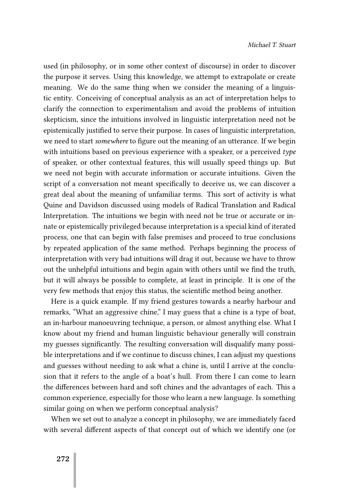used (in philosophy, or in some other context of discourse) in order to discover the purpose it serves. Using this knowledge, we attempt to extrapolate or create meaning. We do the same thing when we consider the meaning of a linguistic entity. Conceiving of conceptual analysis as an act of interpretation helps to clarify the connection to experimentalism and avoid the problems of intuition skepticism, since the intuitions involved in linguistic interpretation need not be epistemically justified to serve their purpose. In cases of linguistic interpretation, we need to start somewhere to figure out the meaning of an utterance. If we begin with intuitions based on previous experience with a speaker, or a perceived  $type$ of speaker, or other contextual features, this will usually speed things up. But we need not begin with accurate information or accurate intuitions. Given the script of a conversation not meant specifically to deceive us, we can discover a great deal about the meaning of unfamiliar terms. This sort of activity is what Quine and Davidson discussed using models of Radical Translation and Radical Interpretation. The intuitions we begin with need not be true or accurate or innate or epistemically privileged because interpretation is a special kind of iterated process, one that can begin with false premises and proceed to true conclusions by repeated application of the same method. Perhaps beginning the process of interpretation with very bad intuitions will drag it out, because we have to throw out the unhelpful intuitions and begin again with others until we find the truth, but it will always be possible to complete, at least in principle. It is one of the very few methods that enjoy this status, the scientific method being another.

Here is a quick example. If my friend gestures towards a nearby harbour and remarks, "What an aggressive chine," I may guess that a chine is a type of boat, an in-harbour manoeuvring technique, a person, or almost anything else. What I know about my friend and human linguistic behaviour generally will constrain my guesses significantly. The resulting conversation will disqualify many possible interpretations and if we continue to discuss chines, I can adjust my questions and guesses without needing to ask what a chine is, until I arrive at the conclusion that it refers to the angle of a boat's hull. From there I can come to learn the differences between hard and soft chines and the advantages of each. This a common experience, especially for those who learn a new language. Is something similar going on when we perform conceptual analysis?

When we set out to analyze a concept in philosophy, we are immediately faced with several different aspects of that concept out of which we identify one (or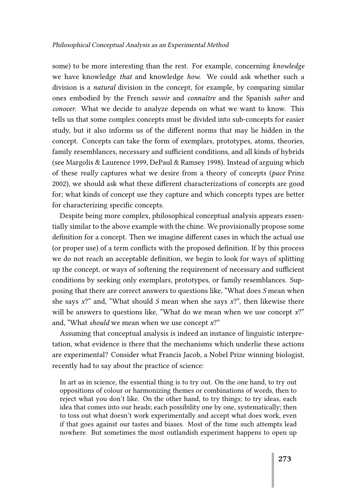some) to be more interesting than the rest. For example, concerning knowledge we have knowledge *that* and knowledge *how*. We could ask whether such a division is a natural division in the concept, for example, by comparing similar ones embodied by the French savoir and connaître and the Spanish saber and conocer. What we decide to analyze depends on what we want to know. This tells us that some complex concepts must be divided into sub-concepts for easier study, but it also informs us of the different norms that may lie hidden in the concept. Concepts can take the form of exemplars, prototypes, atoms, theories, family resemblances, necessary and sufficient conditions, and all kinds of hybrids (see Margolis & Laurence 1999, DePaul & Ramsey 1998). Instead of arguing which of these really captures what we desire from a theory of concepts (pace Prinz 2002), we should ask what these different characterizations of concepts are good for; what kinds of concept use they capture and which concepts types are better for characterizing specific concepts.

Despite being more complex, philosophical conceptual analysis appears essentially similar to the above example with the chine. We provisionally propose some definition for a concept. Then we imagine different cases in which the actual use (or proper use) of a term conflicts with the proposed definition. If by this process we do not reach an acceptable definition, we begin to look for ways of splitting up the concept, or ways of softening the requirement of necessary and sufficient conditions by seeking only exemplars, prototypes, or family resemblances. Supposing that there are correct answers to questions like, "What does S mean when she says  $x$ ?" and, "What should S mean when she says  $x$ ?", then likewise there will be answers to questions like, "What do we mean when we use concept  $x$ ?" and, "What should we mean when we use concept  $x$ ?"

Assuming that conceptual analysis is indeed an instance of linguistic interpretation, what evidence is there that the mechanisms which underlie these actions are experimental? Consider what Francis Jacob, a Nobel Prize winning biologist, recently had to say about the practice of science:

In art as in science, the essential thing is to try out. On the one hand, to try out oppositions of colour or harmonizing themes or combinations of words, then to reject what you don't like. On the other hand, to try things; to try ideas, each idea that comes into our heads; each possibility one by one, systematically; then to toss out what doesn't work experimentally and accept what does work, even if that goes against our tastes and biases. Most of the time such attempts lead nowhere. But sometimes the most outlandish experiment happens to open up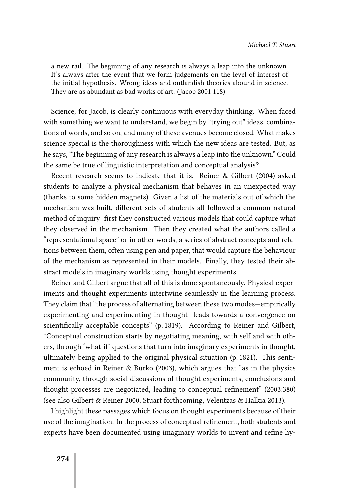a new rail. The beginning of any research is always a leap into the unknown. It's always after the event that we form judgements on the level of interest of the initial hypothesis. Wrong ideas and outlandish theories abound in science. They are as abundant as bad works of art. (Jacob 2001:118)

Science, for Jacob, is clearly continuous with everyday thinking. When faced with something we want to understand, we begin by "trying out" ideas, combinations of words, and so on, and many of these avenues become closed. What makes science special is the thoroughness with which the new ideas are tested. But, as he says, "The beginning of any research is always a leap into the unknown." Could the same be true of linguistic interpretation and conceptual analysis?

Recent research seems to indicate that it is. Reiner & Gilbert (2004) asked students to analyze a physical mechanism that behaves in an unexpected way (thanks to some hidden magnets). Given a list of the materials out of which the mechanism was built, different sets of students all followed a common natural method of inquiry: first they constructed various models that could capture what they observed in the mechanism. Then they created what the authors called a "representational space" or in other words, a series of abstract concepts and relations between them, often using pen and paper, that would capture the behaviour of the mechanism as represented in their models. Finally, they tested their abstract models in imaginary worlds using thought experiments.

Reiner and Gilbert argue that all of this is done spontaneously. Physical experiments and thought experiments intertwine seamlessly in the learning process. They claim that "the process of alternating between these two modes—empirically experimenting and experimenting in thought—leads towards a convergence on scientifically acceptable concepts" (p. 1819). According to Reiner and Gilbert, "Conceptual construction starts by negotiating meaning, with self and with others, through 'what-if' questions that turn into imaginary experiments in thought, ultimately being applied to the original physical situation (p. 1821). This sentiment is echoed in Reiner & Burko (2003), which argues that "as in the physics community, through social discussions of thought experiments, conclusions and thought processes are negotiated, leading to conceptual refinement" (2003:380) (see also Gilbert & Reiner 2000, Stuart forthcoming, Velentzas & Halkia 2013).

I highlight these passages which focus on thought experiments because of their use of the imagination. In the process of conceptual refinement, both students and experts have been documented using imaginary worlds to invent and refine hy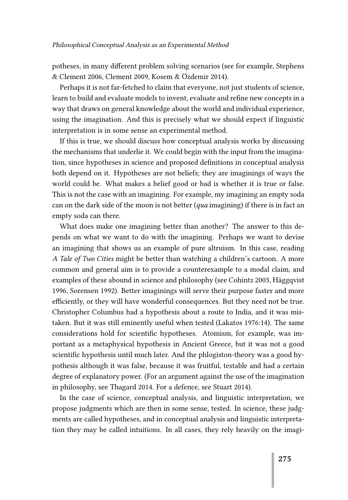potheses, in many different problem solving scenarios (see for example, Stephens & Clement 2006, Clement 2009, Kosem & Özdemir 2014).

Perhaps it is not far-fetched to claim that everyone, not just students of science, learn to build and evaluate models to invent, evaluate and refine new concepts in a way that draws on general knowledge about the world and individual experience, using the imagination. And this is precisely what we should expect if linguistic interpretation is in some sense an experimental method.

If this is true, we should discuss how conceptual analysis works by discussing the mechanisms that underlie it. We could begin with the input from the imagination, since hypotheses in science and proposed definitions in conceptual analysis both depend on it. Hypotheses are not beliefs; they are imaginings of ways the world could be. What makes a belief good or bad is whether it is true or false. This is not the case with an imagining. For example, my imagining an empty soda can on the dark side of the moon is not better  $(qua\text{ imaging})$  if there is in fact an empty soda can there.

What does make one imagining better than another? The answer to this depends on what we want to do with the imagining. Perhaps we want to devise an imagining that shows us an example of pure altruism. In this case, reading A Tale of Two Cities might be better than watching a children's cartoon. A more common and general aim is to provide a counterexample to a modal claim, and examples of these abound in science and philosophy (see Cohintz 2003, Häggqvist 1996, Sorensen 1992). Better imaginings will serve their purpose faster and more efficiently, or they will have wonderful consequences. But they need not be true. Christopher Columbus had a hypothesis about a route to India, and it was mistaken. But it was still eminently useful when tested (Lakatos 1976:14). The same considerations hold for scientific hypotheses. Atomism, for example, was important as a metaphysical hypothesis in Ancient Greece, but it was not a good scientific hypothesis until much later. And the phlogiston-theory was a good hypothesis although it was false, because it was fruitful, testable and had a certain degree of explanatory power. (For an argument against the use of the imagination in philosophy, see Thagard 2014. For a defence, see Stuart 2014).

In the case of science, conceptual analysis, and linguistic interpretation, we propose judgments which are then in some sense, tested. In science, these judgments are called hypotheses, and in conceptual analysis and linguistic interpretation they may be called intuitions. In all cases, they rely heavily on the imagi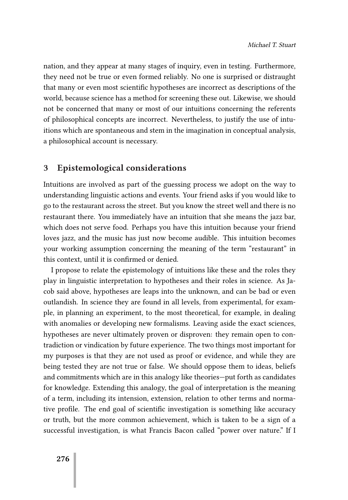nation, and they appear at many stages of inquiry, even in testing. Furthermore, they need not be true or even formed reliably. No one is surprised or distraught that many or even most scientific hypotheses are incorrect as descriptions of the world, because science has a method for screening these out. Likewise, we should not be concerned that many or most of our intuitions concerning the referents of philosophical concepts are incorrect. Nevertheless, to justify the use of intuitions which are spontaneous and stem in the imagination in conceptual analysis, a philosophical account is necessary.

### 3 Epistemological considerations

Intuitions are involved as part of the guessing process we adopt on the way to understanding linguistic actions and events. Your friend asks if you would like to go to the restaurant across the street. But you know the street well and there is no restaurant there. You immediately have an intuition that she means the jazz bar, which does not serve food. Perhaps you have this intuition because your friend loves jazz, and the music has just now become audible. This intuition becomes your working assumption concerning the meaning of the term "restaurant" in this context, until it is confirmed or denied.

I propose to relate the epistemology of intuitions like these and the roles they play in linguistic interpretation to hypotheses and their roles in science. As Jacob said above, hypotheses are leaps into the unknown, and can be bad or even outlandish. In science they are found in all levels, from experimental, for example, in planning an experiment, to the most theoretical, for example, in dealing with anomalies or developing new formalisms. Leaving aside the exact sciences, hypotheses are never ultimately proven or disproven: they remain open to contradiction or vindication by future experience. The two things most important for my purposes is that they are not used as proof or evidence, and while they are being tested they are not true or false. We should oppose them to ideas, beliefs and commitments which are in this analogy like theories—put forth as candidates for knowledge. Extending this analogy, the goal of interpretation is the meaning of a term, including its intension, extension, relation to other terms and normative profile. The end goal of scientific investigation is something like accuracy or truth, but the more common achievement, which is taken to be a sign of a successful investigation, is what Francis Bacon called "power over nature." If I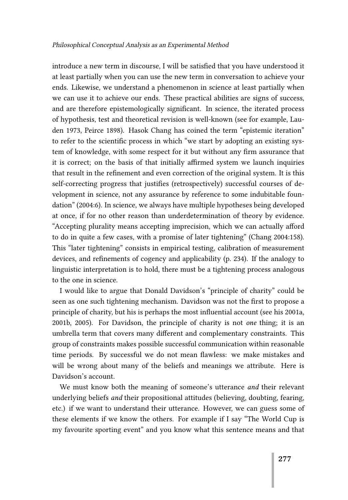#### Philosophical Conceptual Analysis as an Experimental Method

introduce a new term in discourse, I will be satisfied that you have understood it at least partially when you can use the new term in conversation to achieve your ends. Likewise, we understand a phenomenon in science at least partially when we can use it to achieve our ends. These practical abilities are signs of success, and are therefore epistemologically significant. In science, the iterated process of hypothesis, test and theoretical revision is well-known (see for example, Lauden 1973, Peirce 1898). Hasok Chang has coined the term "epistemic iteration" to refer to the scientific process in which "we start by adopting an existing system of knowledge, with some respect for it but without any firm assurance that it is correct; on the basis of that initially affirmed system we launch inquiries that result in the refinement and even correction of the original system. It is this self-correcting progress that justifies (retrospectively) successful courses of development in science, not any assurance by reference to some indubitable foundation" (2004:6). In science, we always have multiple hypotheses being developed at once, if for no other reason than underdetermination of theory by evidence. "Accepting plurality means accepting imprecision, which we can actually afford to do in quite a few cases, with a promise of later tightening" (Chang 2004:158). This "later tightening" consists in empirical testing, calibration of measurement devices, and refinements of cogency and applicability (p. 234). If the analogy to linguistic interpretation is to hold, there must be a tightening process analogous to the one in science.

I would like to argue that Donald Davidson's "principle of charity" could be seen as one such tightening mechanism. Davidson was not the first to propose a principle of charity, but his is perhaps the most influential account (see his 2001a, 2001b, 2005). For Davidson, the principle of charity is not one thing; it is an umbrella term that covers many different and complementary constraints. This group of constraints makes possible successful communication within reasonable time periods. By successful we do not mean flawless: we make mistakes and will be wrong about many of the beliefs and meanings we attribute. Here is Davidson's account.

We must know both the meaning of someone's utterance and their relevant underlying beliefs *and* their propositional attitudes (believing, doubting, fearing, etc.) if we want to understand their utterance. However, we can guess some of these elements if we know the others. For example if I say "The World Cup is my favourite sporting event" and you know what this sentence means and that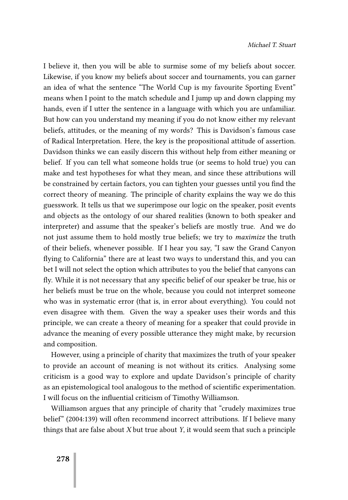I believe it, then you will be able to surmise some of my beliefs about soccer. Likewise, if you know my beliefs about soccer and tournaments, you can garner an idea of what the sentence "The World Cup is my favourite Sporting Event" means when I point to the match schedule and I jump up and down clapping my hands, even if I utter the sentence in a language with which you are unfamiliar. But how can you understand my meaning if you do not know either my relevant beliefs, attitudes, or the meaning of my words? This is Davidson's famous case of Radical Interpretation. Here, the key is the propositional attitude of assertion. Davidson thinks we can easily discern this without help from either meaning or belief. If you can tell what someone holds true (or seems to hold true) you can make and test hypotheses for what they mean, and since these attributions will be constrained by certain factors, you can tighten your guesses until you find the correct theory of meaning. The principle of charity explains the way we do this guesswork. It tells us that we superimpose our logic on the speaker, posit events and objects as the ontology of our shared realities (known to both speaker and interpreter) and assume that the speaker's beliefs are mostly true. And we do not just assume them to hold mostly true beliefs; we try to maximize the truth of their beliefs, whenever possible. If I hear you say, "I saw the Grand Canyon flying to California" there are at least two ways to understand this, and you can bet I will not select the option which attributes to you the belief that canyons can fly. While it is not necessary that any specific belief of our speaker be true, his or her beliefs must be true on the whole, because you could not interpret someone who was in systematic error (that is, in error about everything). You could not even disagree with them. Given the way a speaker uses their words and this principle, we can create a theory of meaning for a speaker that could provide in advance the meaning of every possible utterance they might make, by recursion and composition.

However, using a principle of charity that maximizes the truth of your speaker to provide an account of meaning is not without its critics. Analysing some criticism is a good way to explore and update Davidson's principle of charity as an epistemological tool analogous to the method of scientific experimentation. I will focus on the influential criticism of Timothy Williamson.

Williamson argues that any principle of charity that "crudely maximizes true belief" (2004:139) will often recommend incorrect attributions. If I believe many things that are false about  $X$  but true about  $Y$ , it would seem that such a principle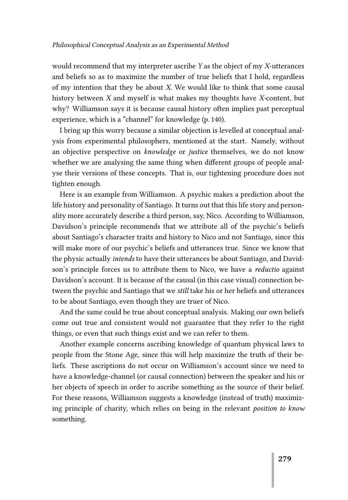would recommend that my interpreter ascribe Y as the object of my X-utterances and beliefs so as to maximize the number of true beliefs that I hold, regardless of my intention that they be about  $X$ . We would like to think that some causal history between X and myself is what makes my thoughts have X-content, but why? Williamson says it is because causal history often implies past perceptual experience, which is a "channel" for knowledge (p. 140).

I bring up this worry because a similar objection is levelled at conceptual analysis from experimental philosophers, mentioned at the start. Namely, without an objective perspective on knowledge or justice themselves, we do not know whether we are analysing the same thing when different groups of people analyse their versions of these concepts. That is, our tightening procedure does not tighten enough.

Here is an example from Williamson. A psychic makes a prediction about the life history and personality of Santiago. It turns out that this life story and personality more accurately describe a third person, say, Nico. According to Williamson, Davidson's principle recommends that we attribute all of the psychic's beliefs about Santiago's character traits and history to Nico and not Santiago, since this will make more of our psychic's beliefs and utterances true. Since we know that the physic actually intends to have their utterances be about Santiago, and Davidson's principle forces us to attribute them to Nico, we have a *reductio* against Davidson's account. It is because of the causal (in this case visual) connection between the psychic and Santiago that we still take his or her beliefs and utterances to be about Santiago, even though they are truer of Nico.

And the same could be true about conceptual analysis. Making our own beliefs come out true and consistent would not guarantee that they refer to the right things, or even that such things exist and we can refer to them.

Another example concerns ascribing knowledge of quantum physical laws to people from the Stone Age, since this will help maximize the truth of their beliefs. These ascriptions do not occur on Williamson's account since we need to have a knowledge-channel (or causal connection) between the speaker and his or her objects of speech in order to ascribe something as the source of their belief. For these reasons, Williamson suggests a knowledge (instead of truth) maximizing principle of charity, which relies on being in the relevant position to know something.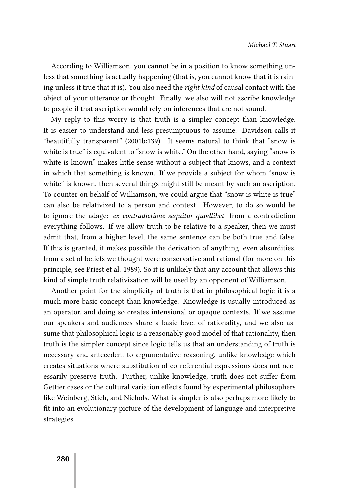According to Williamson, you cannot be in a position to know something unless that something is actually happening (that is, you cannot know that it is raining unless it true that it is). You also need the right kind of causal contact with the object of your utterance or thought. Finally, we also will not ascribe knowledge to people if that ascription would rely on inferences that are not sound.

My reply to this worry is that truth is a simpler concept than knowledge. It is easier to understand and less presumptuous to assume. Davidson calls it "beautifully transparent" (2001b:139). It seems natural to think that "snow is white is true" is equivalent to "snow is white." On the other hand, saying "snow is white is known" makes little sense without a subject that knows, and a context in which that something is known. If we provide a subject for whom "snow is white" is known, then several things might still be meant by such an ascription. To counter on behalf of Williamson, we could argue that "snow is white is true" can also be relativized to a person and context. However, to do so would be to ignore the adage: ex contradictione sequitur quodlibet—from a contradiction everything follows. If we allow truth to be relative to a speaker, then we must admit that, from a higher level, the same sentence can be both true and false. If this is granted, it makes possible the derivation of anything, even absurdities, from a set of beliefs we thought were conservative and rational (for more on this principle, see Priest et al. 1989). So it is unlikely that any account that allows this kind of simple truth relativization will be used by an opponent of Williamson.

Another point for the simplicity of truth is that in philosophical logic it is a much more basic concept than knowledge. Knowledge is usually introduced as an operator, and doing so creates intensional or opaque contexts. If we assume our speakers and audiences share a basic level of rationality, and we also assume that philosophical logic is a reasonably good model of that rationality, then truth is the simpler concept since logic tells us that an understanding of truth is necessary and antecedent to argumentative reasoning, unlike knowledge which creates situations where substitution of co-referential expressions does not necessarily preserve truth. Further, unlike knowledge, truth does not suffer from Gettier cases or the cultural variation effects found by experimental philosophers like Weinberg, Stich, and Nichols. What is simpler is also perhaps more likely to fit into an evolutionary picture of the development of language and interpretive strategies.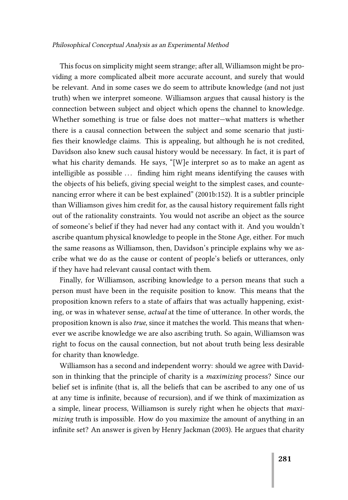#### Philosophical Conceptual Analysis as an Experimental Method

This focus on simplicity might seem strange; after all, Williamson might be providing a more complicated albeit more accurate account, and surely that would be relevant. And in some cases we do seem to attribute knowledge (and not just truth) when we interpret someone. Williamson argues that causal history is the connection between subject and object which opens the channel to knowledge. Whether something is true or false does not matter—what matters is whether there is a causal connection between the subject and some scenario that justifies their knowledge claims. This is appealing, but although he is not credited, Davidson also knew such causal history would be necessary. In fact, it is part of what his charity demands. He says, "[W]e interpret so as to make an agent as intelligible as possible ... finding him right means identifying the causes with the objects of his beliefs, giving special weight to the simplest cases, and countenancing error where it can be best explained" (2001b:152). It is a subtler principle than Williamson gives him credit for, as the causal history requirement falls right out of the rationality constraints. You would not ascribe an object as the source of someone's belief if they had never had any contact with it. And you wouldn't ascribe quantum physical knowledge to people in the Stone Age, either. For much the same reasons as Williamson, then, Davidson's principle explains why we ascribe what we do as the cause or content of people's beliefs or utterances, only if they have had relevant causal contact with them.

Finally, for Williamson, ascribing knowledge to a person means that such a person must have been in the requisite position to know. This means that the proposition known refers to a state of affairs that was actually happening, existing, or was in whatever sense, *actual* at the time of utterance. In other words, the proposition known is also *true*, since it matches the world. This means that whenever we ascribe knowledge we are also ascribing truth. So again, Williamson was right to focus on the causal connection, but not about truth being less desirable for charity than knowledge.

Williamson has a second and independent worry: should we agree with Davidson in thinking that the principle of charity is a *maximizing* process? Since our belief set is infinite (that is, all the beliefs that can be ascribed to any one of us at any time is infinite, because of recursion), and if we think of maximization as a simple, linear process, Williamson is surely right when he objects that *maxi*mizing truth is impossible. How do you maximize the amount of anything in an infinite set? An answer is given by Henry Jackman (2003). He argues that charity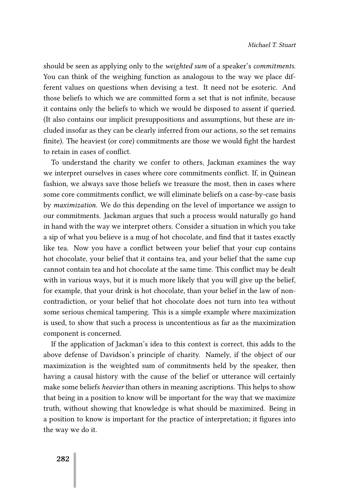should be seen as applying only to the weighted sum of a speaker's commitments. You can think of the weighing function as analogous to the way we place different values on questions when devising a test. It need not be esoteric. And those beliefs to which we are committed form a set that is not infinite, because it contains only the beliefs to which we would be disposed to assent if queried. (It also contains our implicit presuppositions and assumptions, but these are included insofar as they can be clearly inferred from our actions, so the set remains finite). The heaviest (or core) commitments are those we would fight the hardest to retain in cases of conflict.

To understand the charity we confer to others, Jackman examines the way we interpret ourselves in cases where core commitments conflict. If, in Quinean fashion, we always save those beliefs we treasure the most, then in cases where some core commitments conflict, we will eliminate beliefs on a case-by-case basis by maximization. We do this depending on the level of importance we assign to our commitments. Jackman argues that such a process would naturally go hand in hand with the way we interpret others. Consider a situation in which you take a sip of what you believe is a mug of hot chocolate, and find that it tastes exactly like tea. Now you have a conflict between your belief that your cup contains hot chocolate, your belief that it contains tea, and your belief that the same cup cannot contain tea and hot chocolate at the same time. This conflict may be dealt with in various ways, but it is much more likely that you will give up the belief, for example, that your drink is hot chocolate, than your belief in the law of noncontradiction, or your belief that hot chocolate does not turn into tea without some serious chemical tampering. This is a simple example where maximization is used, to show that such a process is uncontentious as far as the maximization component is concerned.

If the application of Jackman's idea to this context is correct, this adds to the above defense of Davidson's principle of charity. Namely, if the object of our maximization is the weighted sum of commitments held by the speaker, then having a causal history with the cause of the belief or utterance will certainly make some beliefs heavier than others in meaning ascriptions. This helps to show that being in a position to know will be important for the way that we maximize truth, without showing that knowledge is what should be maximized. Being in a position to know is important for the practice of interpretation; it figures into the way we do it.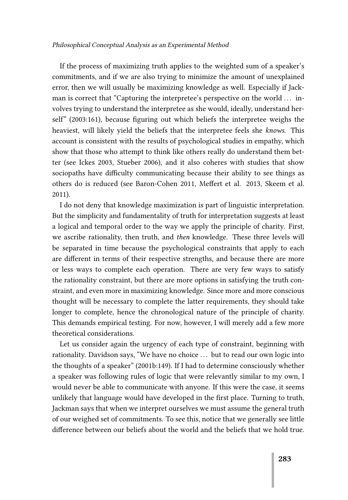#### Philosophical Conceptual Analysis as an Experimental Method

If the process of maximizing truth applies to the weighted sum of a speaker's commitments, and if we are also trying to minimize the amount of unexplained error, then we will usually be maximizing knowledge as well. Especially if Jackman is correct that "Capturing the interpretee's perspective on the world . . . involves trying to understand the interpretee as she would, ideally, understand herself"  $(2003:161)$ , because figuring out which beliefs the interpretee weighs the heaviest, will likely yield the beliefs that the interpretee feels she knows. This account is consistent with the results of psychological studies in empathy, which show that those who attempt to think like others really do understand them better (see Ickes 2003, Stueber 2006), and it also coheres with studies that show sociopaths have difficulty communicating because their ability to see things as others do is reduced (see Baron-Cohen 2011, Meffert et al. 2013, Skeem et al. 2011).

I do not deny that knowledge maximization is part of linguistic interpretation. But the simplicity and fundamentality of truth for interpretation suggests at least a logical and temporal order to the way we apply the principle of charity. First, we ascribe rationality, then truth, and then knowledge. These three levels will be separated in time because the psychological constraints that apply to each are different in terms of their respective strengths, and because there are more or less ways to complete each operation. There are very few ways to satisfy the rationality constraint, but there are more options in satisfying the truth constraint, and even more in maximizing knowledge. Since more and more conscious thought will be necessary to complete the latter requirements, they should take longer to complete, hence the chronological nature of the principle of charity. This demands empirical testing. For now, however, I will merely add a few more theoretical considerations.

Let us consider again the urgency of each type of constraint, beginning with rationality. Davidson says, "We have no choice . . . but to read our own logic into the thoughts of a speaker" (2001b:149). If I had to determine consciously whether a speaker was following rules of logic that were relevantly similar to my own, I would never be able to communicate with anyone. If this were the case, it seems unlikely that language would have developed in the first place. Turning to truth, Jackman says that when we interpret ourselves we must assume the general truth of our weighed set of commitments. To see this, notice that we generally see little difference between our beliefs about the world and the beliefs that we hold true.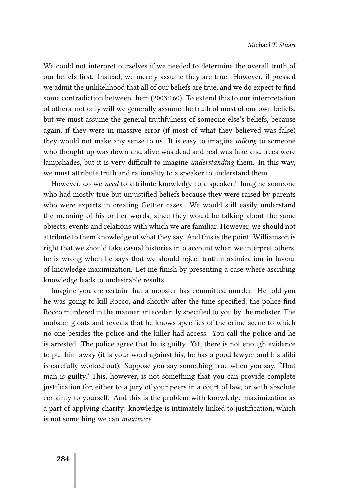We could not interpret ourselves if we needed to determine the overall truth of our beliefs first. Instead, we merely assume they are true. However, if pressed we admit the unlikelihood that all of our beliefs are true, and we do expect to find some contradiction between them (2003:160). To extend this to our interpretation of others, not only will we generally assume the truth of most of our own beliefs, but we must assume the general truthfulness of someone else's beliefs, because again, if they were in massive error (if most of what they believed was false) they would not make any sense to us. It is easy to imagine talking to someone who thought up was down and alive was dead and real was fake and trees were lampshades, but it is very difficult to imagine *understanding* them. In this way, we must attribute truth and rationality to a speaker to understand them.

However, do we need to attribute knowledge to a speaker? Imagine someone who had mostly true but unjustified beliefs because they were raised by parents who were experts in creating Gettier cases. We would still easily understand the meaning of his or her words, since they would be talking about the same objects, events and relations with which we are familiar. However, we should not attribute to them knowledge of what they say. And this is the point. Williamson is right that we should take casual histories into account when we interpret others, he is wrong when he says that we should reject truth maximization in favour of knowledge maximization. Let me finish by presenting a case where ascribing knowledge leads to undesirable results.

Imagine you are certain that a mobster has committed murder. He told you he was going to kill Rocco, and shortly after the time specified, the police find Rocco murdered in the manner antecedently specified to you by the mobster. The mobster gloats and reveals that he knows specifics of the crime scene to which no one besides the police and the killer had access. You call the police and he is arrested. The police agree that he is guilty. Yet, there is not enough evidence to put him away (it is your word against his, he has a good lawyer and his alibi is carefully worked out). Suppose you say something true when you say, "That man is guilty." This, however, is not something that you can provide complete justification for, either to a jury of your peers in a court of law, or with absolute certainty to yourself. And this is the problem with knowledge maximization as a part of applying charity: knowledge is intimately linked to justification, which is not something we can maximize.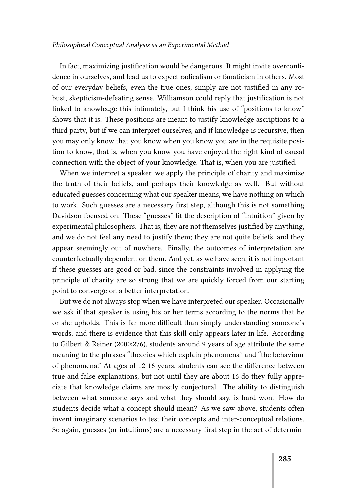#### Philosophical Conceptual Analysis as an Experimental Method

In fact, maximizing justification would be dangerous. It might invite overconfidence in ourselves, and lead us to expect radicalism or fanaticism in others. Most of our everyday beliefs, even the true ones, simply are not justified in any robust, skepticism-defeating sense. Williamson could reply that justification is not linked to knowledge this intimately, but I think his use of "positions to know" shows that it is. These positions are meant to justify knowledge ascriptions to a third party, but if we can interpret ourselves, and if knowledge is recursive, then you may only know that you know when you know you are in the requisite position to know, that is, when you know you have enjoyed the right kind of causal connection with the object of your knowledge. That is, when you are justified.

When we interpret a speaker, we apply the principle of charity and maximize the truth of their beliefs, and perhaps their knowledge as well. But without educated guesses concerning what our speaker means, we have nothing on which to work. Such guesses are a necessary first step, although this is not something Davidson focused on. These "guesses" fit the description of "intuition" given by experimental philosophers. That is, they are not themselves justified by anything, and we do not feel any need to justify them; they are not quite beliefs, and they appear seemingly out of nowhere. Finally, the outcomes of interpretation are counterfactually dependent on them. And yet, as we have seen, it is not important if these guesses are good or bad, since the constraints involved in applying the principle of charity are so strong that we are quickly forced from our starting point to converge on a better interpretation.

But we do not always stop when we have interpreted our speaker. Occasionally we ask if that speaker is using his or her terms according to the norms that he or she upholds. This is far more difficult than simply understanding someone's words, and there is evidence that this skill only appears later in life. According to Gilbert & Reiner (2000:276), students around 9 years of age attribute the same meaning to the phrases "theories which explain phenomena" and "the behaviour of phenomena." At ages of 12-16 years, students can see the difference between true and false explanations, but not until they are about 16 do they fully appreciate that knowledge claims are mostly conjectural. The ability to distinguish between what someone says and what they should say, is hard won. How do students decide what a concept should mean? As we saw above, students often invent imaginary scenarios to test their concepts and inter-conceptual relations. So again, guesses (or intuitions) are a necessary first step in the act of determin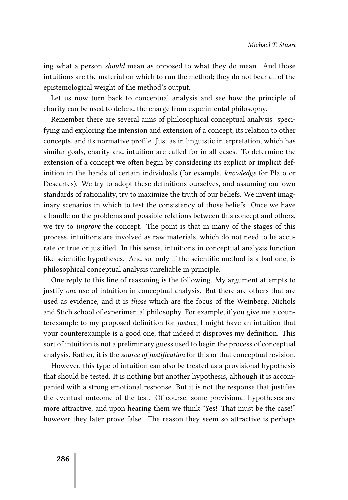ing what a person should mean as opposed to what they do mean. And those intuitions are the material on which to run the method; they do not bear all of the epistemological weight of the method's output.

Let us now turn back to conceptual analysis and see how the principle of charity can be used to defend the charge from experimental philosophy.

Remember there are several aims of philosophical conceptual analysis: specifying and exploring the intension and extension of a concept, its relation to other concepts, and its normative profile. Just as in linguistic interpretation, which has similar goals, charity and intuition are called for in all cases. To determine the extension of a concept we often begin by considering its explicit or implicit definition in the hands of certain individuals (for example, knowledge for Plato or Descartes). We try to adopt these definitions ourselves, and assuming our own standards of rationality, try to maximize the truth of our beliefs. We invent imaginary scenarios in which to test the consistency of those beliefs. Once we have a handle on the problems and possible relations between this concept and others, we try to improve the concept. The point is that in many of the stages of this process, intuitions are involved as raw materials, which do not need to be accurate or true or justified. In this sense, intuitions in conceptual analysis function like scientific hypotheses. And so, only if the scientific method is a bad one, is philosophical conceptual analysis unreliable in principle.

One reply to this line of reasoning is the following. My argument attempts to justify one use of intuition in conceptual analysis. But there are others that are used as evidence, and it is those which are the focus of the Weinberg, Nichols and Stich school of experimental philosophy. For example, if you give me a counterexample to my proposed definition for *justice*, I might have an intuition that your counterexample is a good one, that indeed it disproves my definition. This sort of intuition is not a preliminary guess used to begin the process of conceptual analysis. Rather, it is the source of justification for this or that conceptual revision.

However, this type of intuition can also be treated as a provisional hypothesis that should be tested. It is nothing but another hypothesis, although it is accompanied with a strong emotional response. But it is not the response that justifies the eventual outcome of the test. Of course, some provisional hypotheses are more attractive, and upon hearing them we think "Yes! That must be the case!" however they later prove false. The reason they seem so attractive is perhaps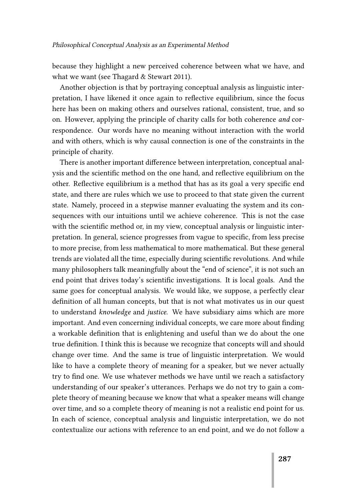because they highlight a new perceived coherence between what we have, and what we want (see Thagard & Stewart 2011).

Another objection is that by portraying conceptual analysis as linguistic interpretation, I have likened it once again to reflective equilibrium, since the focus here has been on making others and ourselves rational, consistent, true, and so on. However, applying the principle of charity calls for both coherence and correspondence. Our words have no meaning without interaction with the world and with others, which is why causal connection is one of the constraints in the principle of charity.

There is another important difference between interpretation, conceptual analysis and the scientific method on the one hand, and reflective equilibrium on the other. Reflective equilibrium is a method that has as its goal a very specific end state, and there are rules which we use to proceed to that state given the current state. Namely, proceed in a stepwise manner evaluating the system and its consequences with our intuitions until we achieve coherence. This is not the case with the scientific method or, in my view, conceptual analysis or linguistic interpretation. In general, science progresses from vague to specific, from less precise to more precise, from less mathematical to more mathematical. But these general trends are violated all the time, especially during scientific revolutions. And while many philosophers talk meaningfully about the "end of science", it is not such an end point that drives today's scientific investigations. It is local goals. And the same goes for conceptual analysis. We would like, we suppose, a perfectly clear definition of all human concepts, but that is not what motivates us in our quest to understand knowledge and *justice*. We have subsidiary aims which are more important. And even concerning individual concepts, we care more about finding a workable definition that is enlightening and useful than we do about the one true definition. I think this is because we recognize that concepts will and should change over time. And the same is true of linguistic interpretation. We would like to have a complete theory of meaning for a speaker, but we never actually try to find one. We use whatever methods we have until we reach a satisfactory understanding of our speaker's utterances. Perhaps we do not try to gain a complete theory of meaning because we know that what a speaker means will change over time, and so a complete theory of meaning is not a realistic end point for us. In each of science, conceptual analysis and linguistic interpretation, we do not contextualize our actions with reference to an end point, and we do not follow a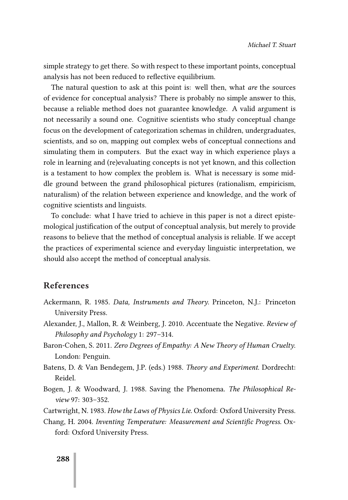simple strategy to get there. So with respect to these important points, conceptual analysis has not been reduced to reflective equilibrium.

The natural question to ask at this point is: well then, what are the sources of evidence for conceptual analysis? There is probably no simple answer to this, because a reliable method does not guarantee knowledge. A valid argument is not necessarily a sound one. Cognitive scientists who study conceptual change focus on the development of categorization schemas in children, undergraduates, scientists, and so on, mapping out complex webs of conceptual connections and simulating them in computers. But the exact way in which experience plays a role in learning and (re)evaluating concepts is not yet known, and this collection is a testament to how complex the problem is. What is necessary is some middle ground between the grand philosophical pictures (rationalism, empiricism, naturalism) of the relation between experience and knowledge, and the work of cognitive scientists and linguists.

To conclude: what I have tried to achieve in this paper is not a direct epistemological justification of the output of conceptual analysis, but merely to provide reasons to believe that the method of conceptual analysis is reliable. If we accept the practices of experimental science and everyday linguistic interpretation, we should also accept the method of conceptual analysis.

### References

- Ackermann, R. 1985. Data, Instruments and Theory. Princeton, N.J.: Princeton University Press.
- Alexander, J., Mallon, R. & Weinberg, J. 2010. Accentuate the Negative. Review of Philosophy and Psychology 1: 297–314.
- Baron-Cohen, S. 2011. Zero Degrees of Empathy: A New Theory of Human Cruelty. London: Penguin.
- Batens, D. & Van Bendegem, J.P. (eds.) 1988. Theory and Experiment. Dordrecht: Reidel.
- Bogen, J. & Woodward, J. 1988. Saving the Phenomena. The Philosophical Review 97: 303–352.
- Cartwright, N. 1983. How the Laws of Physics Lie. Oxford: Oxford University Press.
- Chang, H. 2004. Inventing Temperature: Measurement and Scientific Progress. Oxford: Oxford University Press.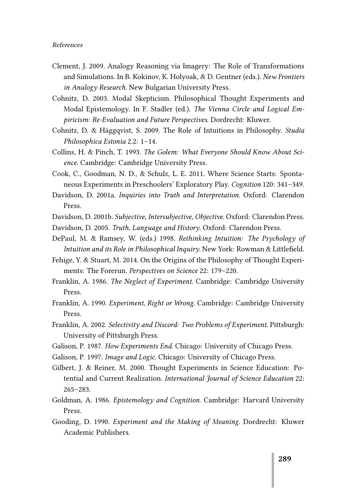- Clement, J. 2009. Analogy Reasoning via Imagery: The Role of Transformations and Simulations. In B. Kokinov, K. Holyoak, & D. Gentner (eds.). New Frontiers in Analogy Research. New Bulgarian University Press.
- Cohnitz, D. 2003. Modal Skepticism. Philosophical Thought Experiments and Modal Epistemology. In F. Stadler (ed.). The Vienna Circle and Logical Empiricism: Re-Evaluation and Future Perspectives. Dordrecht: Kluwer.
- Cohnitz, D. & Häggqvist, S. 2009. The Role of Intuitions in Philosophy. Studia Philosophica Estonia 2.2: 1–14.
- Collins, H. & Pinch, T. 1993. The Golem: What Everyone Should Know About Science. Cambridge: Cambridge University Press.
- Cook, C., Goodman, N. D., & Schulz, L. E. 2011. Where Science Starts: Spontaneous Experiments in Preschoolers' Exploratory Play. Cognition 120: 341–349.
- Davidson, D. 2001a. Inquiries into Truth and Interpretation. Oxford: Clarendon Press.
- Davidson, D. 2001b. Subjective, Intersubjective, Objective. Oxford: Clarendon Press.
- Davidson, D. 2005. Truth, Language and History. Oxford: Clarendon Press.
- DePaul, M. & Ramsey, W. (eds.) 1998. Rethinking Intuition: The Psychology of Intuition and its Role in Philosophical Inquiry. New York: Rowman & Littlefield.
- Fehige, Y. & Stuart, M. 2014. On the Origins of the Philosophy of Thought Experiments: The Forerun. Perspectives on Science 22: 179–220.
- Franklin, A. 1986. The Neglect of Experiment. Cambridge: Cambridge University Press.
- Franklin, A. 1990. Experiment, Right or Wrong. Cambridge: Cambridge University Press.
- Franklin, A. 2002. Selectivity and Discord: Two Problems of Experiment. Pittsburgh: University of Pittsburgh Press.
- Galison, P. 1987. How Experiments End. Chicago: University of Chicago Press.
- Galison, P. 1997. Image and Logic. Chicago: University of Chicago Press.
- Gilbert, J. & Reiner, M. 2000. Thought Experiments in Science Education: Potential and Current Realization. International Journal of Science Education 22: 265–283.
- Goldman, A. 1986. Epistemology and Cognition. Cambridge: Harvard University Press.
- Gooding, D. 1990. Experiment and the Making of Meaning. Dordrecht: Kluwer Academic Publishers.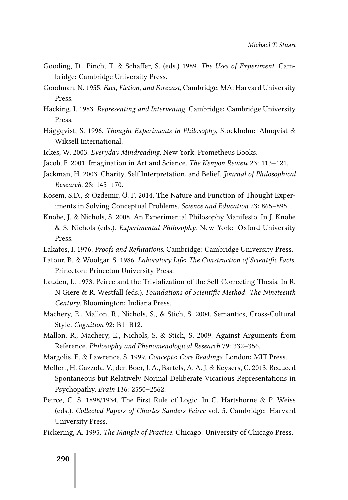- Gooding, D., Pinch, T. & Schaffer, S. (eds.) 1989. The Uses of Experiment. Cambridge: Cambridge University Press.
- Goodman, N. 1955. Fact, Fiction, and Forecast, Cambridge, MA: Harvard University Press.
- Hacking, I. 1983. Representing and Intervening. Cambridge: Cambridge University Press.
- Häggqvist, S. 1996. Thought Experiments in Philosophy, Stockholm: Almqvist & Wiksell International.
- Ickes, W. 2003. Everyday Mindreading. New York. Prometheus Books.
- Jacob, F. 2001. Imagination in Art and Science. The Kenyon Review 23: 113–121.
- Jackman, H. 2003. Charity, Self Interpretation, and Belief. Journal of Philosophical Research. 28: 145–170.
- Kosem, S.D., & Özdemir, Ö. F. 2014. The Nature and Function of Thought Experiments in Solving Conceptual Problems. Science and Education 23: 865–895.
- Knobe, J. & Nichols, S. 2008. An Experimental Philosophy Manifesto. In J. Knobe & S. Nichols (eds.). Experimental Philosophy. New York: Oxford University Press.
- Lakatos, I. 1976. Proofs and Refutations. Cambridge: Cambridge University Press.
- Latour, B. & Woolgar, S. 1986. Laboratory Life: The Construction of Scientific Facts. Princeton: Princeton University Press.
- Lauden, L. 1973. Peirce and the Trivialization of the Self-Correcting Thesis. In R. N Giere & R. Westfall (eds.). Foundations of Scientific Method: The Nineteenth Century. Bloomington: Indiana Press.
- Machery, E., Mallon, R., Nichols, S., & Stich, S. 2004. Semantics, Cross-Cultural Style. Cognition 92: B1–B12.
- Mallon, R., Machery, E., Nichols, S. & Stich, S. 2009. Against Arguments from Reference. Philosophy and Phenomenological Research 79: 332–356.
- Margolis, E. & Lawrence, S. 1999. Concepts: Core Readings. London: MIT Press.
- Meffert, H. Gazzola, V., den Boer, J. A., Bartels, A. A. J. & Keysers, C. 2013. Reduced Spontaneous but Relatively Normal Deliberate Vicarious Representations in Psychopathy. Brain 136: 2550–2562.
- Peirce, C. S. 1898/1934. The First Rule of Logic. In C. Hartshorne & P. Weiss (eds.). Collected Papers of Charles Sanders Peirce vol. 5. Cambridge: Harvard University Press.
- Pickering, A. 1995. The Mangle of Practice. Chicago: University of Chicago Press.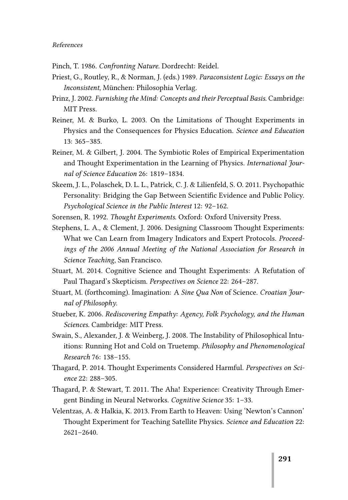- Pinch, T. 1986. Confronting Nature. Dordrecht: Reidel.
- Priest, G., Routley, R., & Norman, J. (eds.) 1989. Paraconsistent Logic: Essays on the Inconsistent, München: Philosophia Verlag.
- Prinz, J. 2002. Furnishing the Mind: Concepts and their Perceptual Basis. Cambridge: MIT Press.
- Reiner, M. & Burko, L. 2003. On the Limitations of Thought Experiments in Physics and the Consequences for Physics Education. Science and Education 13: 365–385.
- Reiner, M. & Gilbert, J. 2004. The Symbiotic Roles of Empirical Experimentation and Thought Experimentation in the Learning of Physics. International Journal of Science Education 26: 1819–1834.
- Skeem, J. L., Polaschek, D. L. L., Patrick, C. J. & Lilienfeld, S. O. 2011. Psychopathic Personality: Bridging the Gap Between Scientific Evidence and Public Policy. Psychological Science in the Public Interest 12: 92–162.
- Sorensen, R. 1992. Thought Experiments. Oxford: Oxford University Press.
- Stephens, L. A., & Clement, J. 2006. Designing Classroom Thought Experiments: What we Can Learn from Imagery Indicators and Expert Protocols. Proceedings of the 2006 Annual Meeting of the National Association for Research in Science Teaching, San Francisco.
- Stuart, M. 2014. Cognitive Science and Thought Experiments: A Refutation of Paul Thagard's Skepticism. Perspectives on Science 22: 264–287.
- Stuart, M. (forthcoming). Imagination: A Sine Qua Non of Science. Croatian Journal of Philosophy.
- Stueber, K. 2006. Rediscovering Empathy: Agency, Folk Psychology, and the Human Sciences. Cambridge: MIT Press.
- Swain, S., Alexander, J. & Weinberg, J. 2008. The Instability of Philosophical Intuitions: Running Hot and Cold on Truetemp. Philosophy and Phenomenological Research 76: 138–155.
- Thagard, P. 2014. Thought Experiments Considered Harmful. Perspectives on Science 22: 288–305.
- Thagard, P. & Stewart, T. 2011. The Aha! Experience: Creativity Through Emergent Binding in Neural Networks. Cognitive Science 35: 1–33.
- Velentzas, A. & Halkia, K. 2013. From Earth to Heaven: Using 'Newton's Cannon' Thought Experiment for Teaching Satellite Physics. Science and Education 22: 2621–2640.